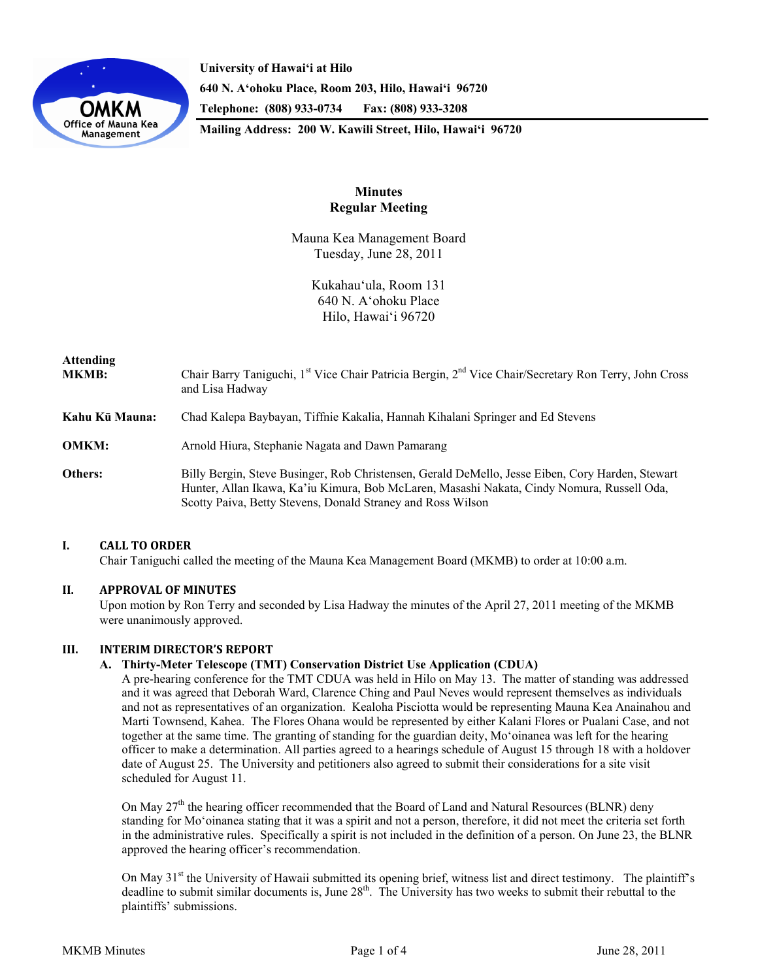

**University of Hawai'i at Hilo 640 N. A'ohoku Place, Room 203, Hilo, Hawai'i 96720 Telephone: (808) 933-0734 Fax: (808) 933-3208 Mailing Address: 200 W. Kawili Street, Hilo, Hawai'i 96720** 

# **Minutes Regular Meeting**

Mauna Kea Management Board Tuesday, June 28, 2011

> Kukahau'ula, Room 131 640 N. A'ohoku Place Hilo, Hawai'i 96720

| Attending<br><b>MKMB:</b> | Chair Barry Taniguchi, 1 <sup>st</sup> Vice Chair Patricia Bergin, 2 <sup>nd</sup> Vice Chair/Secretary Ron Terry, John Cross<br>and Lisa Hadway                                                                                                              |
|---------------------------|---------------------------------------------------------------------------------------------------------------------------------------------------------------------------------------------------------------------------------------------------------------|
| Kahu Kū Mauna:            | Chad Kalepa Baybayan, Tiffnie Kakalia, Hannah Kihalani Springer and Ed Stevens                                                                                                                                                                                |
| OMKM:                     | Arnold Hiura, Stephanie Nagata and Dawn Pamarang                                                                                                                                                                                                              |
| Others:                   | Billy Bergin, Steve Businger, Rob Christensen, Gerald DeMello, Jesse Eiben, Cory Harden, Stewart<br>Hunter, Allan Ikawa, Ka'iu Kimura, Bob McLaren, Masashi Nakata, Cindy Nomura, Russell Oda,<br>Scotty Paiva, Betty Stevens, Donald Straney and Ross Wilson |

## **I. CALL TO ORDER**

Chair Taniguchi called the meeting of the Mauna Kea Management Board (MKMB) to order at 10:00 a.m.

## **II. APPROVAL OF MINUTES**

Upon motion by Ron Terry and seconded by Lisa Hadway the minutes of the April 27, 2011 meeting of the MKMB were unanimously approved.

### **III. INTERIM DIRECTOR'S REPORT**

### **A. Thirty-Meter Telescope (TMT) Conservation District Use Application (CDUA)**

A pre-hearing conference for the TMT CDUA was held in Hilo on May 13. The matter of standing was addressed and it was agreed that Deborah Ward, Clarence Ching and Paul Neves would represent themselves as individuals and not as representatives of an organization. Kealoha Pisciotta would be representing Mauna Kea Anainahou and Marti Townsend, Kahea. The Flores Ohana would be represented by either Kalani Flores or Pualani Case, and not together at the same time. The granting of standing for the guardian deity, Mo'oinanea was left for the hearing officer to make a determination. All parties agreed to a hearings schedule of August 15 through 18 with a holdover date of August 25. The University and petitioners also agreed to submit their considerations for a site visit scheduled for August 11.

On May  $27<sup>th</sup>$  the hearing officer recommended that the Board of Land and Natural Resources (BLNR) deny standing for Mo'oinanea stating that it was a spirit and not a person, therefore, it did not meet the criteria set forth in the administrative rules. Specifically a spirit is not included in the definition of a person. On June 23, the BLNR approved the hearing officer's recommendation.

On May 31<sup>st</sup> the University of Hawaii submitted its opening brief, witness list and direct testimony. The plaintiff's deadline to submit similar documents is, June 28<sup>th</sup>. The University has two weeks to submit their rebuttal to the plaintiffs' submissions.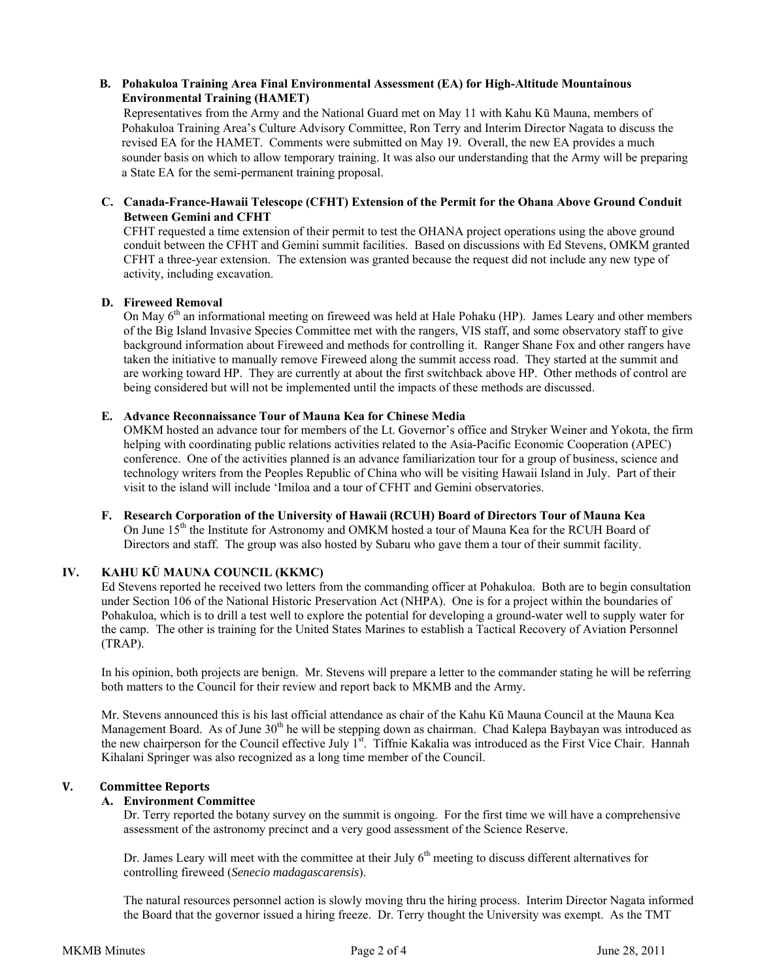## **B. Pohakuloa Training Area Final Environmental Assessment (EA) for High-Altitude Mountainous Environmental Training (HAMET)**

Representatives from the Army and the National Guard met on May 11 with Kahu Kū Mauna, members of Pohakuloa Training Area's Culture Advisory Committee, Ron Terry and Interim Director Nagata to discuss the revised EA for the HAMET. Comments were submitted on May 19. Overall, the new EA provides a much sounder basis on which to allow temporary training. It was also our understanding that the Army will be preparing a State EA for the semi-permanent training proposal.

### **C. Canada-France-Hawaii Telescope (CFHT) Extension of the Permit for the Ohana Above Ground Conduit Between Gemini and CFHT**

CFHT requested a time extension of their permit to test the OHANA project operations using the above ground conduit between the CFHT and Gemini summit facilities. Based on discussions with Ed Stevens, OMKM granted CFHT a three-year extension. The extension was granted because the request did not include any new type of activity, including excavation.

## **D. Fireweed Removal**

On May 6<sup>th</sup> an informational meeting on fireweed was held at Hale Pohaku (HP). James Leary and other members of the Big Island Invasive Species Committee met with the rangers, VIS staff, and some observatory staff to give background information about Fireweed and methods for controlling it. Ranger Shane Fox and other rangers have taken the initiative to manually remove Fireweed along the summit access road. They started at the summit and are working toward HP. They are currently at about the first switchback above HP. Other methods of control are being considered but will not be implemented until the impacts of these methods are discussed.

## **E. Advance Reconnaissance Tour of Mauna Kea for Chinese Media**

OMKM hosted an advance tour for members of the Lt. Governor's office and Stryker Weiner and Yokota, the firm helping with coordinating public relations activities related to the Asia-Pacific Economic Cooperation (APEC) conference. One of the activities planned is an advance familiarization tour for a group of business, science and technology writers from the Peoples Republic of China who will be visiting Hawaii Island in July. Part of their visit to the island will include 'Imiloa and a tour of CFHT and Gemini observatories.

# **F. Research Corporation of the University of Hawaii (RCUH) Board of Directors Tour of Mauna Kea** On June 15<sup>th</sup> the Institute for Astronomy and OMKM hosted a tour of Mauna Kea for the RCUH Board of Directors and staff. The group was also hosted by Subaru who gave them a tour of their summit facility.

# **IV. KAHU KŪ MAUNA COUNCIL (KKMC)**

Ed Stevens reported he received two letters from the commanding officer at Pohakuloa. Both are to begin consultation under Section 106 of the National Historic Preservation Act (NHPA). One is for a project within the boundaries of Pohakuloa, which is to drill a test well to explore the potential for developing a ground-water well to supply water for the camp. The other is training for the United States Marines to establish a Tactical Recovery of Aviation Personnel (TRAP).

In his opinion, both projects are benign. Mr. Stevens will prepare a letter to the commander stating he will be referring both matters to the Council for their review and report back to MKMB and the Army.

Mr. Stevens announced this is his last official attendance as chair of the Kahu Kū Mauna Council at the Mauna Kea Management Board. As of June  $30<sup>th</sup>$  he will be stepping down as chairman. Chad Kalepa Baybayan was introduced as the new chairperson for the Council effective July  $1<sup>st</sup>$ . Tiffnie Kakalia was introduced as the First Vice Chair. Hannah Kihalani Springer was also recognized as a long time member of the Council.

## **V. Committee Reports**

## **A. Environment Committee**

 Dr. Terry reported the botany survey on the summit is ongoing. For the first time we will have a comprehensive assessment of the astronomy precinct and a very good assessment of the Science Reserve.

Dr. James Leary will meet with the committee at their July 6<sup>th</sup> meeting to discuss different alternatives for controlling fireweed (*Senecio madagascarensis*).

 The natural resources personnel action is slowly moving thru the hiring process. Interim Director Nagata informed the Board that the governor issued a hiring freeze. Dr. Terry thought the University was exempt. As the TMT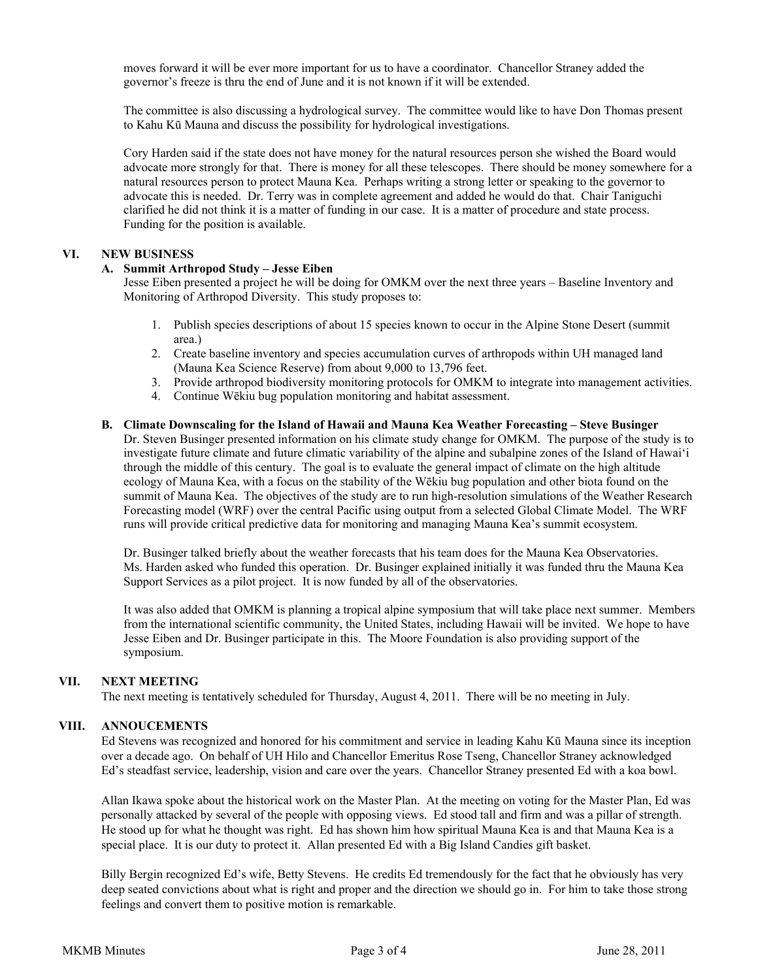moves forward it will be ever more important for us to have a coordinator. Chancellor Straney added the governor's freeze is thru the end of June and it is not known if it will be extended.

 The committee is also discussing a hydrological survey. The committee would like to have Don Thomas present to Kahu Kū Mauna and discuss the possibility for hydrological investigations.

 Cory Harden said if the state does not have money for the natural resources person she wished the Board would advocate more strongly for that. There is money for all these telescopes. There should be money somewhere for a natural resources person to protect Mauna Kea. Perhaps writing a strong letter or speaking to the governor to advocate this is needed. Dr. Terry was in complete agreement and added he would do that. Chair Taniguchi clarified he did not think it is a matter of funding in our case. It is a matter of procedure and state process. Funding for the position is available.

# **VI. NEW BUSINESS**

### **A. Summit Arthropod Study – Jesse Eiben**

Jesse Eiben presented a project he will be doing for OMKM over the next three years – Baseline Inventory and Monitoring of Arthropod Diversity. This study proposes to:

- 1. Publish species descriptions of about 15 species known to occur in the Alpine Stone Desert (summit area.)
- 2. Create baseline inventory and species accumulation curves of arthropods within UH managed land (Mauna Kea Science Reserve) from about 9,000 to 13,796 feet.
- 3. Provide arthropod biodiversity monitoring protocols for OMKM to integrate into management activities.
- 4. Continue Wēkiu bug population monitoring and habitat assessment.

### **B. Climate Downscaling for the Island of Hawaii and Mauna Kea Weather Forecasting – Steve Businger** Dr. Steven Businger presented information on his climate study change for OMKM. The purpose of the study is to investigate future climate and future climatic variability of the alpine and subalpine zones of the Island of Hawai'i through the middle of this century. The goal is to evaluate the general impact of climate on the high altitude ecology of Mauna Kea, with a focus on the stability of the Wēkiu bug population and other biota found on the summit of Mauna Kea. The objectives of the study are to run high-resolution simulations of the Weather Research Forecasting model (WRF) over the central Pacific using output from a selected Global Climate Model. The WRF runs will provide critical predictive data for monitoring and managing Mauna Kea's summit ecosystem.

Dr. Businger talked briefly about the weather forecasts that his team does for the Mauna Kea Observatories. Ms. Harden asked who funded this operation. Dr. Businger explained initially it was funded thru the Mauna Kea Support Services as a pilot project. It is now funded by all of the observatories.

It was also added that OMKM is planning a tropical alpine symposium that will take place next summer. Members from the international scientific community, the United States, including Hawaii will be invited. We hope to have Jesse Eiben and Dr. Businger participate in this. The Moore Foundation is also providing support of the symposium.

## **VII. NEXT MEETING**

The next meeting is tentatively scheduled for Thursday, August 4, 2011. There will be no meeting in July.

#### **VIII. ANNOUCEMENTS**

Ed Stevens was recognized and honored for his commitment and service in leading Kahu Kū Mauna since its inception over a decade ago. On behalf of UH Hilo and Chancellor Emeritus Rose Tseng, Chancellor Straney acknowledged Ed's steadfast service, leadership, vision and care over the years. Chancellor Straney presented Ed with a koa bowl.

Allan Ikawa spoke about the historical work on the Master Plan. At the meeting on voting for the Master Plan, Ed was personally attacked by several of the people with opposing views. Ed stood tall and firm and was a pillar of strength. He stood up for what he thought was right. Ed has shown him how spiritual Mauna Kea is and that Mauna Kea is a special place. It is our duty to protect it. Allan presented Ed with a Big Island Candies gift basket.

Billy Bergin recognized Ed's wife, Betty Stevens. He credits Ed tremendously for the fact that he obviously has very deep seated convictions about what is right and proper and the direction we should go in. For him to take those strong feelings and convert them to positive motion is remarkable.